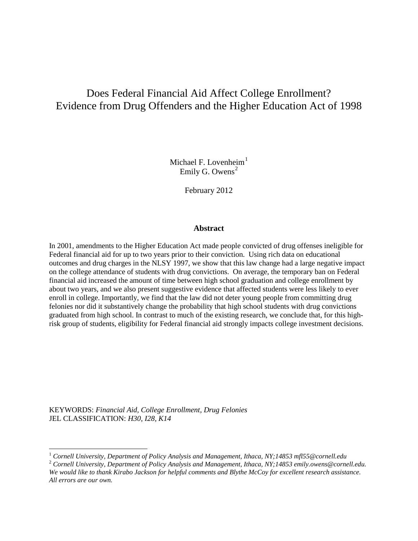# Does Federal Financial Aid Affect College Enrollment? Evidence from Drug Offenders and the Higher Education Act of 1998

Michael F. Lovenheim $<sup>1</sup>$  $<sup>1</sup>$  $<sup>1</sup>$ </sup> Emily G. Owens<sup>[2](#page-0-1)</sup>

February 2012

#### **Abstract**

In 2001, amendments to the Higher Education Act made people convicted of drug offenses ineligible for Federal financial aid for up to two years prior to their conviction. Using rich data on educational outcomes and drug charges in the NLSY 1997, we show that this law change had a large negative impact on the college attendance of students with drug convictions. On average, the temporary ban on Federal financial aid increased the amount of time between high school graduation and college enrollment by about two years, and we also present suggestive evidence that affected students were less likely to ever enroll in college. Importantly, we find that the law did not deter young people from committing drug felonies nor did it substantively change the probability that high school students with drug convictions graduated from high school. In contrast to much of the existing research, we conclude that, for this highrisk group of students, eligibility for Federal financial aid strongly impacts college investment decisions.

KEYWORDS: *Financial Aid, College Enrollment, Drug Felonies*  JEL CLASSIFICATION: *H30, I28, K14*

<span id="page-0-1"></span><span id="page-0-0"></span><sup>&</sup>lt;sup>1</sup> Cornell University, Department of Policy Analysis and Management, Ithaca, NY;14853 mfl55@cornell.edu<br><sup>2</sup> Cornell University, Department of Policy Analysis and Management, Ithaca, NY;14853 emily.owens@cornell.edu. *We would like to thank Kirabo Jackson for helpful comments and Blythe McCoy for excellent research assistance. All errors are our own.*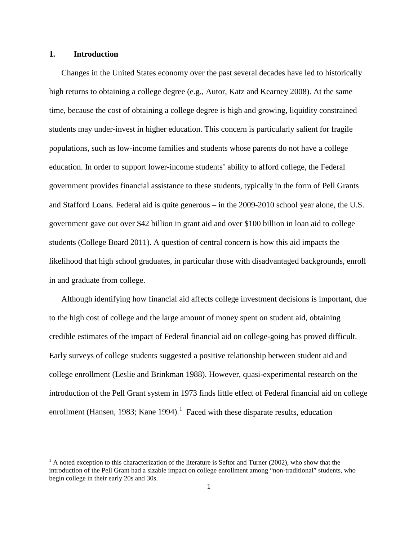# **1. Introduction**

Changes in the United States economy over the past several decades have led to historically high returns to obtaining a college degree (e.g., Autor, Katz and Kearney 2008). At the same time, because the cost of obtaining a college degree is high and growing, liquidity constrained students may under-invest in higher education. This concern is particularly salient for fragile populations, such as low-income families and students whose parents do not have a college education. In order to support lower-income students' ability to afford college, the Federal government provides financial assistance to these students, typically in the form of Pell Grants and Stafford Loans. Federal aid is quite generous – in the 2009-2010 school year alone, the U.S. government gave out over \$42 billion in grant aid and over \$100 billion in loan aid to college students (College Board 2011). A question of central concern is how this aid impacts the likelihood that high school graduates, in particular those with disadvantaged backgrounds, enroll in and graduate from college.

Although identifying how financial aid affects college investment decisions is important, due to the high cost of college and the large amount of money spent on student aid, obtaining credible estimates of the impact of Federal financial aid on college-going has proved difficult. Early surveys of college students suggested a positive relationship between student aid and college enrollment (Leslie and Brinkman 1988). However, quasi-experimental research on the introduction of the Pell Grant system in 1973 finds little effect of Federal financial aid on college enrollment (Hansen, [1](#page-1-0)983; Kane 1994).<sup>1</sup> Faced with these disparate results, education

<span id="page-1-0"></span> $<sup>1</sup>$  A noted exception to this characterization of the literature is Seftor and Turner (2002), who show that the</sup> introduction of the Pell Grant had a sizable impact on college enrollment among "non-traditional" students, who begin college in their early 20s and 30s.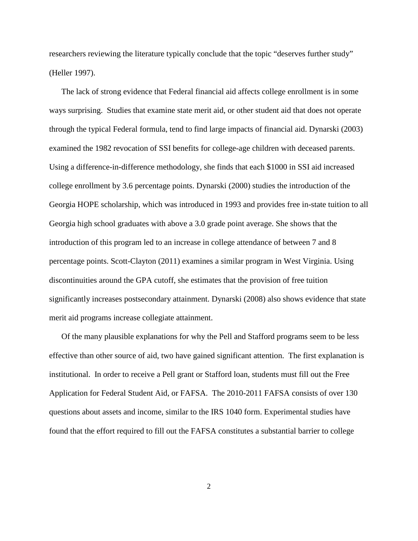researchers reviewing the literature typically conclude that the topic "deserves further study" (Heller 1997).

The lack of strong evidence that Federal financial aid affects college enrollment is in some ways surprising. Studies that examine state merit aid, or other student aid that does not operate through the typical Federal formula, tend to find large impacts of financial aid. Dynarski (2003) examined the 1982 revocation of SSI benefits for college-age children with deceased parents. Using a difference-in-difference methodology, she finds that each \$1000 in SSI aid increased college enrollment by 3.6 percentage points. Dynarski (2000) studies the introduction of the Georgia HOPE scholarship, which was introduced in 1993 and provides free in-state tuition to all Georgia high school graduates with above a 3.0 grade point average. She shows that the introduction of this program led to an increase in college attendance of between 7 and 8 percentage points. Scott-Clayton (2011) examines a similar program in West Virginia. Using discontinuities around the GPA cutoff, she estimates that the provision of free tuition significantly increases postsecondary attainment. Dynarski (2008) also shows evidence that state merit aid programs increase collegiate attainment.

Of the many plausible explanations for why the Pell and Stafford programs seem to be less effective than other source of aid, two have gained significant attention. The first explanation is institutional. In order to receive a Pell grant or Stafford loan, students must fill out the Free Application for Federal Student Aid, or FAFSA. The 2010-2011 FAFSA consists of over 130 questions about assets and income, similar to the IRS 1040 form. Experimental studies have found that the effort required to fill out the FAFSA constitutes a substantial barrier to college

2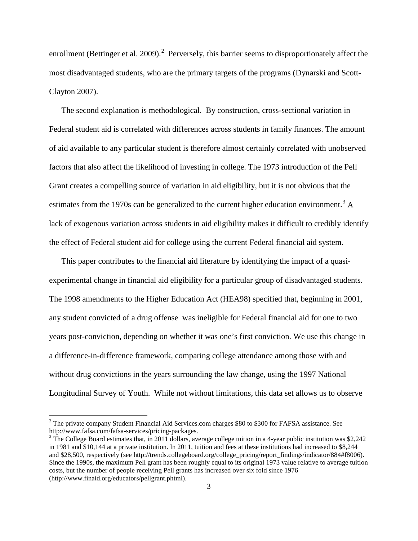enrollment (Bettinger et al. [2](#page-3-0)009).<sup>2</sup> Perversely, this barrier seems to disproportionately affect the most disadvantaged students, who are the primary targets of the programs (Dynarski and Scott-Clayton 2007).

The second explanation is methodological. By construction, cross-sectional variation in Federal student aid is correlated with differences across students in family finances. The amount of aid available to any particular student is therefore almost certainly correlated with unobserved factors that also affect the likelihood of investing in college. The 1973 introduction of the Pell Grant creates a compelling source of variation in aid eligibility, but it is not obvious that the estimates from the 1970s can be generalized to the current higher education environment.<sup>[3](#page-3-1)</sup> A lack of exogenous variation across students in aid eligibility makes it difficult to credibly identify the effect of Federal student aid for college using the current Federal financial aid system.

This paper contributes to the financial aid literature by identifying the impact of a quasiexperimental change in financial aid eligibility for a particular group of disadvantaged students. The 1998 amendments to the Higher Education Act (HEA98) specified that, beginning in 2001, any student convicted of a drug offense was ineligible for Federal financial aid for one to two years post-conviction, depending on whether it was one's first conviction. We use this change in a difference-in-difference framework, comparing college attendance among those with and without drug convictions in the years surrounding the law change, using the 1997 National Longitudinal Survey of Youth. While not without limitations, this data set allows us to observe

<span id="page-3-0"></span><sup>&</sup>lt;sup>2</sup> The private company Student Financial Aid Services.com charges \$80 to \$300 for FAFSA assistance. See http://www.fafsa.com/fafsa-services/pricing-packages.<br><sup>3</sup> The College Board estimates that, in 2011 dollars, average college tuition in a 4-year public institution was \$2,242

<span id="page-3-1"></span>in 1981 and \$10,144 at a private institution. In 2011, tuition and fees at these institutions had increased to \$8,244 and \$28,500, respectively (see http://trends.collegeboard.org/college\_pricing/report\_findings/indicator/884#f8006). Since the 1990s, the maximum Pell grant has been roughly equal to its original 1973 value relative to average tuition costs, but the number of people receiving Pell grants has increased over six fold since 1976 (http://www.finaid.org/educators/pellgrant.phtml).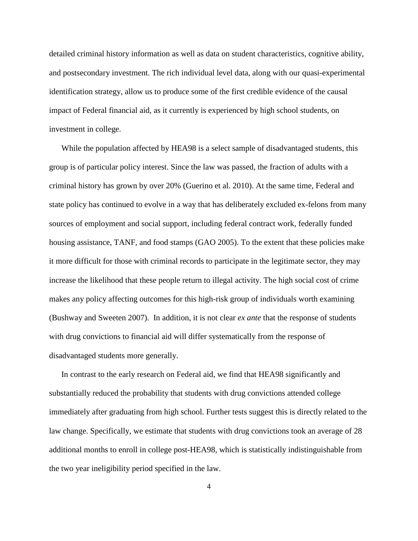detailed criminal history information as well as data on student characteristics, cognitive ability, and postsecondary investment. The rich individual level data, along with our quasi-experimental identification strategy, allow us to produce some of the first credible evidence of the causal impact of Federal financial aid, as it currently is experienced by high school students, on investment in college.

While the population affected by HEA98 is a select sample of disadvantaged students, this group is of particular policy interest. Since the law was passed, the fraction of adults with a criminal history has grown by over 20% (Guerino et al. 2010). At the same time, Federal and state policy has continued to evolve in a way that has deliberately excluded ex-felons from many sources of employment and social support, including federal contract work, federally funded housing assistance, TANF, and food stamps (GAO 2005). To the extent that these policies make it more difficult for those with criminal records to participate in the legitimate sector, they may increase the likelihood that these people return to illegal activity. The high social cost of crime makes any policy affecting outcomes for this high-risk group of individuals worth examining (Bushway and Sweeten 2007). In addition, it is not clear *ex ante* that the response of students with drug convictions to financial aid will differ systematically from the response of disadvantaged students more generally.

In contrast to the early research on Federal aid, we find that HEA98 significantly and substantially reduced the probability that students with drug convictions attended college immediately after graduating from high school. Further tests suggest this is directly related to the law change. Specifically, we estimate that students with drug convictions took an average of 28 additional months to enroll in college post-HEA98, which is statistically indistinguishable from the two year ineligibility period specified in the law.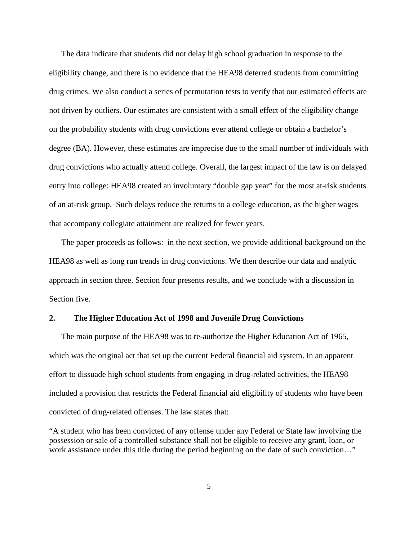The data indicate that students did not delay high school graduation in response to the eligibility change, and there is no evidence that the HEA98 deterred students from committing drug crimes. We also conduct a series of permutation tests to verify that our estimated effects are not driven by outliers. Our estimates are consistent with a small effect of the eligibility change on the probability students with drug convictions ever attend college or obtain a bachelor's degree (BA). However, these estimates are imprecise due to the small number of individuals with drug convictions who actually attend college. Overall, the largest impact of the law is on delayed entry into college: HEA98 created an involuntary "double gap year" for the most at-risk students of an at-risk group. Such delays reduce the returns to a college education, as the higher wages that accompany collegiate attainment are realized for fewer years.

The paper proceeds as follows: in the next section, we provide additional background on the HEA98 as well as long run trends in drug convictions. We then describe our data and analytic approach in section three. Section four presents results, and we conclude with a discussion in Section five.

#### **2. The Higher Education Act of 1998 and Juvenile Drug Convictions**

The main purpose of the HEA98 was to re-authorize the Higher Education Act of 1965, which was the original act that set up the current Federal financial aid system. In an apparent effort to dissuade high school students from engaging in drug-related activities, the HEA98 included a provision that restricts the Federal financial aid eligibility of students who have been convicted of drug-related offenses. The law states that:

"A student who has been convicted of any offense under any Federal or State law involving the possession or sale of a controlled substance shall not be eligible to receive any grant, loan, or work assistance under this title during the period beginning on the date of such conviction..."

5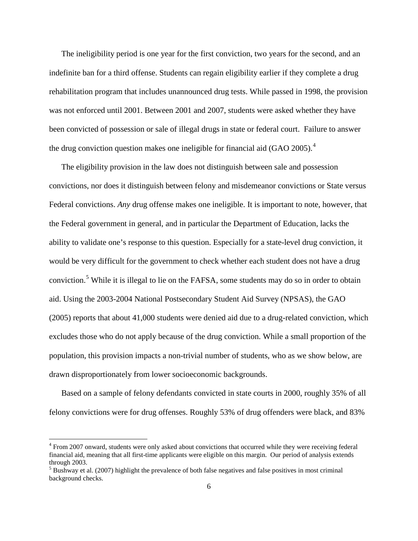The ineligibility period is one year for the first conviction, two years for the second, and an indefinite ban for a third offense. Students can regain eligibility earlier if they complete a drug rehabilitation program that includes unannounced drug tests. While passed in 1998, the provision was not enforced until 2001. Between 2001 and 2007, students were asked whether they have been convicted of possession or sale of illegal drugs in state or federal court. Failure to answer the drug conviction question makes one ineligible for financial aid  $(GAO~2005)$ .<sup>[4](#page-6-0)</sup>

The eligibility provision in the law does not distinguish between sale and possession convictions, nor does it distinguish between felony and misdemeanor convictions or State versus Federal convictions. *Any* drug offense makes one ineligible. It is important to note, however, that the Federal government in general, and in particular the Department of Education, lacks the ability to validate one's response to this question. Especially for a state-level drug conviction, it would be very difficult for the government to check whether each student does not have a drug conviction.[5](#page-6-1) While it is illegal to lie on the FAFSA, some students may do so in order to obtain aid. Using the 2003-2004 National Postsecondary Student Aid Survey (NPSAS), the GAO (2005) reports that about 41,000 students were denied aid due to a drug-related conviction, which excludes those who do not apply because of the drug conviction. While a small proportion of the population, this provision impacts a non-trivial number of students, who as we show below, are drawn disproportionately from lower socioeconomic backgrounds.

Based on a sample of felony defendants convicted in state courts in 2000, roughly 35% of all felony convictions were for drug offenses. Roughly 53% of drug offenders were black, and 83%

<span id="page-6-0"></span><sup>&</sup>lt;sup>4</sup> From 2007 onward, students were only asked about convictions that occurred while they were receiving federal financial aid, meaning that all first-time applicants were eligible on this margin. Our period of analysis extends through 2003.

<span id="page-6-1"></span><sup>5</sup> Bushway et al. (2007) highlight the prevalence of both false negatives and false positives in most criminal background checks.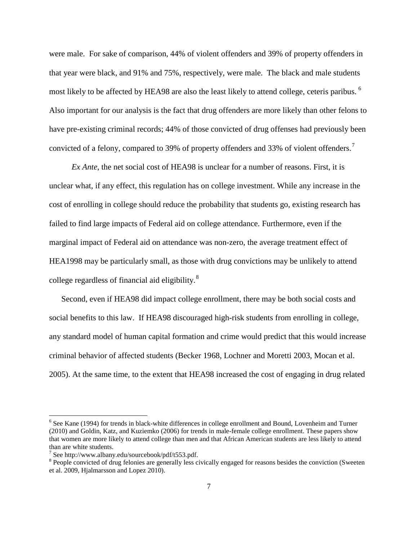were male. For sake of comparison, 44% of violent offenders and 39% of property offenders in that year were black, and 91% and 75%, respectively, were male. The black and male students most likely to be affected by HEA98 are also the least likely to attend college, ceteris paribus. <sup>[6](#page-7-0)</sup> Also important for our analysis is the fact that drug offenders are more likely than other felons to have pre-existing criminal records; 44% of those convicted of drug offenses had previously been convicted of a felony, compared to 39% of property offenders and 33% of violent offenders.<sup>[7](#page-7-1)</sup>

 *Ex Ante*, the net social cost of HEA98 is unclear for a number of reasons. First, it is unclear what, if any effect, this regulation has on college investment. While any increase in the cost of enrolling in college should reduce the probability that students go, existing research has failed to find large impacts of Federal aid on college attendance. Furthermore, even if the marginal impact of Federal aid on attendance was non-zero, the average treatment effect of HEA1998 may be particularly small, as those with drug convictions may be unlikely to attend college regardless of financial aid eligibility.<sup>[8](#page-7-2)</sup>

Second, even if HEA98 did impact college enrollment, there may be both social costs and social benefits to this law. If HEA98 discouraged high-risk students from enrolling in college, any standard model of human capital formation and crime would predict that this would increase criminal behavior of affected students (Becker 1968, Lochner and Moretti 2003, Mocan et al. 2005). At the same time, to the extent that HEA98 increased the cost of engaging in drug related

<span id="page-7-0"></span><sup>&</sup>lt;sup>6</sup> See Kane (1994) for trends in black-white differences in college enrollment and Bound, Lovenheim and Turner (2010) and Goldin, Katz, and Kuziemko (2006) for trends in male-female college enrollment. These papers show that women are more likely to attend college than men and that African American students are less likely to attend than are white students.<br>
<sup>7</sup> See http://www.albany.edu/sourcebook/pdf/t553.pdf.

<span id="page-7-1"></span>

<span id="page-7-2"></span> $8$  People convicted of drug felonies are generally less civically engaged for reasons besides the conviction (Sweeten et al. 2009, Hjalmarsson and Lopez 2010).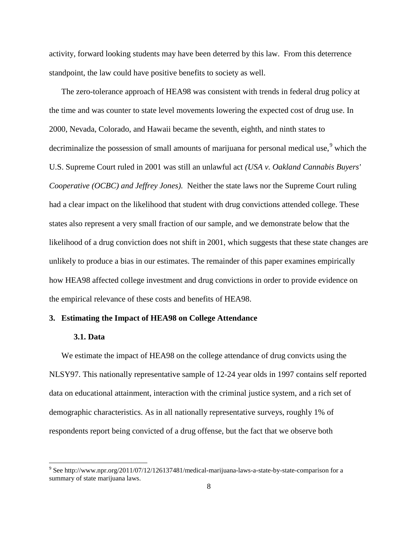activity, forward looking students may have been deterred by this law. From this deterrence standpoint, the law could have positive benefits to society as well.

The zero-tolerance approach of HEA98 was consistent with trends in federal drug policy at the time and was counter to state level movements lowering the expected cost of drug use. In 2000, Nevada, Colorado, and Hawaii became the seventh, eighth, and ninth states to decriminalize the possession of small amounts of marijuana for personal medical use, $9$  which the U.S. Supreme Court ruled in 2001 was still an unlawful act *(USA v. Oakland Cannabis Buyers' Cooperative (OCBC) and Jeffrey Jones).* Neither the state laws nor the Supreme Court ruling had a clear impact on the likelihood that student with drug convictions attended college. These states also represent a very small fraction of our sample, and we demonstrate below that the likelihood of a drug conviction does not shift in 2001, which suggests that these state changes are unlikely to produce a bias in our estimates. The remainder of this paper examines empirically how HEA98 affected college investment and drug convictions in order to provide evidence on the empirical relevance of these costs and benefits of HEA98.

## **3. Estimating the Impact of HEA98 on College Attendance**

#### **3.1. Data**

We estimate the impact of HEA98 on the college attendance of drug convicts using the NLSY97. This nationally representative sample of 12-24 year olds in 1997 contains self reported data on educational attainment, interaction with the criminal justice system, and a rich set of demographic characteristics. As in all nationally representative surveys, roughly 1% of respondents report being convicted of a drug offense, but the fact that we observe both

<span id="page-8-0"></span><sup>9</sup> See http://www.npr.org/2011/07/12/126137481/medical-marijuana-laws-a-state-by-state-comparison for a summary of state marijuana laws.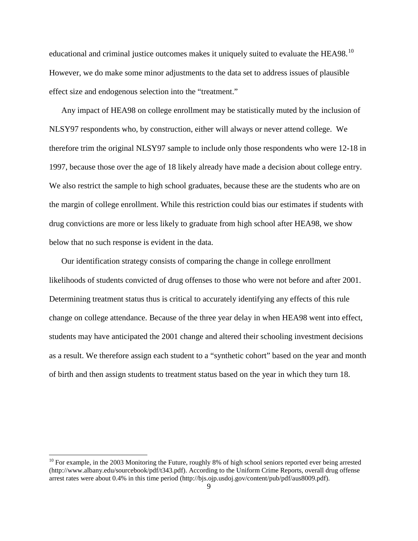educational and criminal justice outcomes makes it uniquely suited to evaluate the HEA98.<sup>[10](#page-9-0)</sup> However, we do make some minor adjustments to the data set to address issues of plausible effect size and endogenous selection into the "treatment."

Any impact of HEA98 on college enrollment may be statistically muted by the inclusion of NLSY97 respondents who, by construction, either will always or never attend college. We therefore trim the original NLSY97 sample to include only those respondents who were 12-18 in 1997, because those over the age of 18 likely already have made a decision about college entry. We also restrict the sample to high school graduates, because these are the students who are on the margin of college enrollment. While this restriction could bias our estimates if students with drug convictions are more or less likely to graduate from high school after HEA98, we show below that no such response is evident in the data.

Our identification strategy consists of comparing the change in college enrollment likelihoods of students convicted of drug offenses to those who were not before and after 2001. Determining treatment status thus is critical to accurately identifying any effects of this rule change on college attendance. Because of the three year delay in when HEA98 went into effect, students may have anticipated the 2001 change and altered their schooling investment decisions as a result. We therefore assign each student to a "synthetic cohort" based on the year and month of birth and then assign students to treatment status based on the year in which they turn 18.

<span id="page-9-0"></span> $10$  For example, in the 2003 Monitoring the Future, roughly 8% of high school seniors reported ever being arrested (http://www.albany.edu/sourcebook/pdf/t343.pdf). According to the Uniform Crime Reports, overall drug offense arrest rates were about 0.4% in this time period (http://bjs.ojp.usdoj.gov/content/pub/pdf/aus8009.pdf).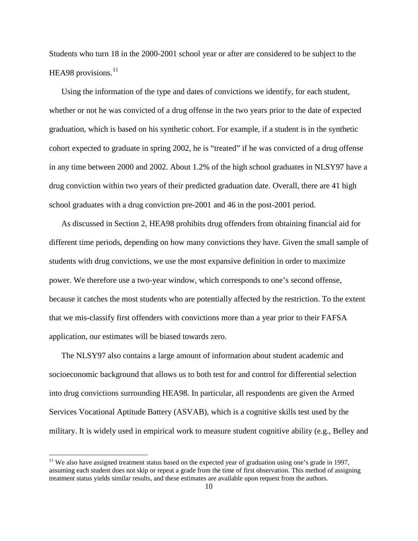Students who turn 18 in the 2000-2001 school year or after are considered to be subject to the HEA98 provisions. $^{11}$  $^{11}$  $^{11}$ 

Using the information of the type and dates of convictions we identify, for each student, whether or not he was convicted of a drug offense in the two years prior to the date of expected graduation, which is based on his synthetic cohort. For example, if a student is in the synthetic cohort expected to graduate in spring 2002, he is "treated" if he was convicted of a drug offense in any time between 2000 and 2002. About 1.2% of the high school graduates in NLSY97 have a drug conviction within two years of their predicted graduation date. Overall, there are 41 high school graduates with a drug conviction pre-2001 and 46 in the post-2001 period.

As discussed in Section 2, HEA98 prohibits drug offenders from obtaining financial aid for different time periods, depending on how many convictions they have. Given the small sample of students with drug convictions, we use the most expansive definition in order to maximize power. We therefore use a two-year window, which corresponds to one's second offense, because it catches the most students who are potentially affected by the restriction. To the extent that we mis-classify first offenders with convictions more than a year prior to their FAFSA application, our estimates will be biased towards zero.

The NLSY97 also contains a large amount of information about student academic and socioeconomic background that allows us to both test for and control for differential selection into drug convictions surrounding HEA98. In particular, all respondents are given the Armed Services Vocational Aptitude Battery (ASVAB), which is a cognitive skills test used by the military. It is widely used in empirical work to measure student cognitive ability (e.g., Belley and

<span id="page-10-0"></span><sup>&</sup>lt;sup>11</sup> We also have assigned treatment status based on the expected year of graduation using one's grade in 1997, assuming each student does not skip or repeat a grade from the time of first observation. This method of assigning treatment status yields similar results, and these estimates are available upon request from the authors.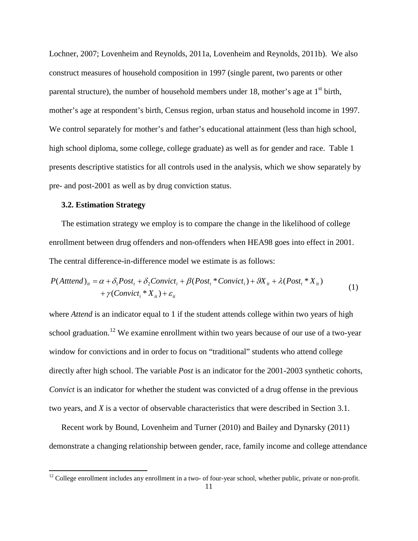Lochner, 2007; Lovenheim and Reynolds, 2011a, Lovenheim and Reynolds, 2011b). We also construct measures of household composition in 1997 (single parent, two parents or other parental structure), the number of household members under 18, mother's age at  $1<sup>st</sup>$  birth, mother's age at respondent's birth, Census region, urban status and household income in 1997. We control separately for mother's and father's educational attainment (less than high school, high school diploma, some college, college graduate) as well as for gender and race. Table 1 presents descriptive statistics for all controls used in the analysis, which we show separately by pre- and post-2001 as well as by drug conviction status.

## **3.2. Estimation Strategy**

The estimation strategy we employ is to compare the change in the likelihood of college enrollment between drug offenders and non-offenders when HEA98 goes into effect in 2001. The central difference-in-difference model we estimate is as follows:

$$
P(Atttend)it = \alpha + \delta_1 Post_t + \delta_2 Convict_i + \beta (Post_t * Convict_i) + \theta X_{it} + \lambda (Post_t * X_{it})
$$
  
+  $\gamma (Convict_i * X_{it}) + \varepsilon_{it}$  (1)

where *Attend* is an indicator equal to 1 if the student attends college within two years of high school graduation.<sup>[12](#page-11-0)</sup> We examine enrollment within two years because of our use of a two-year window for convictions and in order to focus on "traditional" students who attend college directly after high school. The variable *Post* is an indicator for the 2001-2003 synthetic cohorts, *Convict* is an indicator for whether the student was convicted of a drug offense in the previous two years, and *X* is a vector of observable characteristics that were described in Section 3.1.

Recent work by Bound, Lovenheim and Turner (2010) and Bailey and Dynarsky (2011) demonstrate a changing relationship between gender, race, family income and college attendance

<span id="page-11-0"></span><sup>&</sup>lt;sup>12</sup> College enrollment includes any enrollment in a two- of four-year school, whether public, private or non-profit.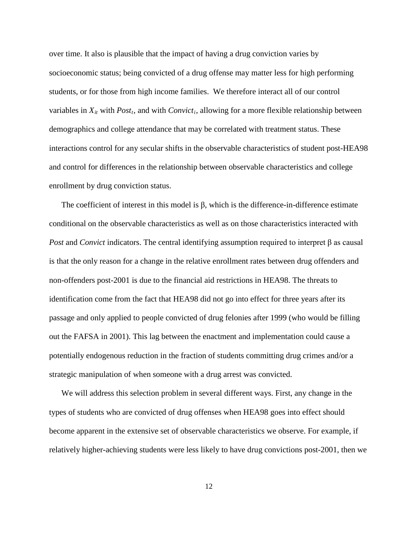over time. It also is plausible that the impact of having a drug conviction varies by socioeconomic status; being convicted of a drug offense may matter less for high performing students, or for those from high income families. We therefore interact all of our control variables in  $X_{it}$  with *Post<sub>t</sub>*, and with *Convict<sub>i</sub>*, allowing for a more flexible relationship between demographics and college attendance that may be correlated with treatment status. These interactions control for any secular shifts in the observable characteristics of student post-HEA98 and control for differences in the relationship between observable characteristics and college enrollment by drug conviction status.

The coefficient of interest in this model is β, which is the difference-in-difference estimate conditional on the observable characteristics as well as on those characteristics interacted with *Post* and *Convict* indicators. The central identifying assumption required to interpret β as causal is that the only reason for a change in the relative enrollment rates between drug offenders and non-offenders post-2001 is due to the financial aid restrictions in HEA98. The threats to identification come from the fact that HEA98 did not go into effect for three years after its passage and only applied to people convicted of drug felonies after 1999 (who would be filling out the FAFSA in 2001). This lag between the enactment and implementation could cause a potentially endogenous reduction in the fraction of students committing drug crimes and/or a strategic manipulation of when someone with a drug arrest was convicted.

We will address this selection problem in several different ways. First, any change in the types of students who are convicted of drug offenses when HEA98 goes into effect should become apparent in the extensive set of observable characteristics we observe. For example, if relatively higher-achieving students were less likely to have drug convictions post-2001, then we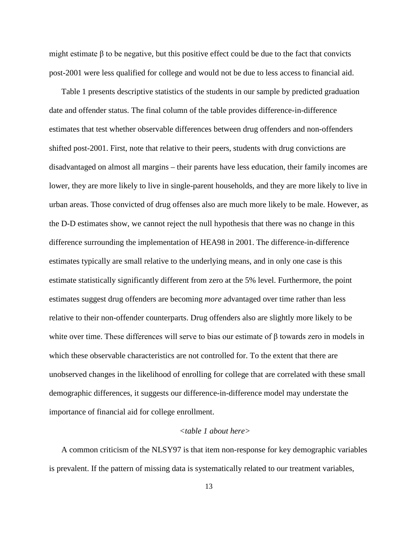might estimate  $\beta$  to be negative, but this positive effect could be due to the fact that convicts post-2001 were less qualified for college and would not be due to less access to financial aid.

Table 1 presents descriptive statistics of the students in our sample by predicted graduation date and offender status. The final column of the table provides difference-in-difference estimates that test whether observable differences between drug offenders and non-offenders shifted post-2001. First, note that relative to their peers, students with drug convictions are disadvantaged on almost all margins – their parents have less education, their family incomes are lower, they are more likely to live in single-parent households, and they are more likely to live in urban areas. Those convicted of drug offenses also are much more likely to be male. However, as the D-D estimates show, we cannot reject the null hypothesis that there was no change in this difference surrounding the implementation of HEA98 in 2001. The difference-in-difference estimates typically are small relative to the underlying means, and in only one case is this estimate statistically significantly different from zero at the 5% level. Furthermore, the point estimates suggest drug offenders are becoming *more* advantaged over time rather than less relative to their non-offender counterparts. Drug offenders also are slightly more likely to be white over time. These differences will serve to bias our estimate of β towards zero in models in which these observable characteristics are not controlled for. To the extent that there are unobserved changes in the likelihood of enrolling for college that are correlated with these small demographic differences, it suggests our difference-in-difference model may understate the importance of financial aid for college enrollment.

#### *<table 1 about here>*

A common criticism of the NLSY97 is that item non-response for key demographic variables is prevalent. If the pattern of missing data is systematically related to our treatment variables,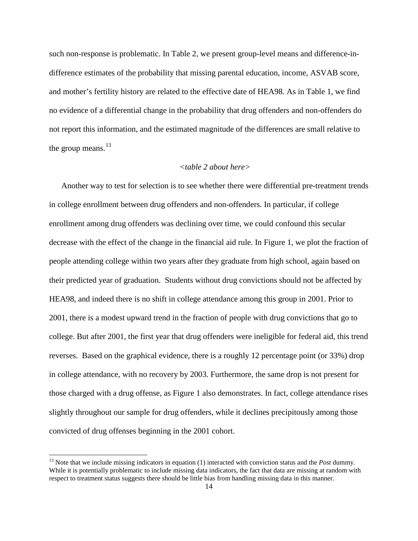such non-response is problematic. In Table 2, we present group-level means and difference-indifference estimates of the probability that missing parental education, income, ASVAB score, and mother's fertility history are related to the effective date of HEA98. As in Table 1, we find no evidence of a differential change in the probability that drug offenders and non-offenders do not report this information, and the estimated magnitude of the differences are small relative to the group means.<sup>[13](#page-14-0)</sup>

# *<table 2 about here>*

Another way to test for selection is to see whether there were differential pre-treatment trends in college enrollment between drug offenders and non-offenders. In particular, if college enrollment among drug offenders was declining over time, we could confound this secular decrease with the effect of the change in the financial aid rule. In Figure 1, we plot the fraction of people attending college within two years after they graduate from high school, again based on their predicted year of graduation. Students without drug convictions should not be affected by HEA98, and indeed there is no shift in college attendance among this group in 2001. Prior to 2001, there is a modest upward trend in the fraction of people with drug convictions that go to college. But after 2001, the first year that drug offenders were ineligible for federal aid, this trend reverses. Based on the graphical evidence, there is a roughly 12 percentage point (or 33%) drop in college attendance, with no recovery by 2003. Furthermore, the same drop is not present for those charged with a drug offense, as Figure 1 also demonstrates. In fact, college attendance rises slightly throughout our sample for drug offenders, while it declines precipitously among those convicted of drug offenses beginning in the 2001 cohort.

<span id="page-14-0"></span><sup>&</sup>lt;sup>13</sup> Note that we include missing indicators in equation (1) interacted with conviction status and the *Post* dummy. While it is potentially problematic to include missing data indicators, the fact that data are missing at random with respect to treatment status suggests there should be little bias from handling missing data in this manner.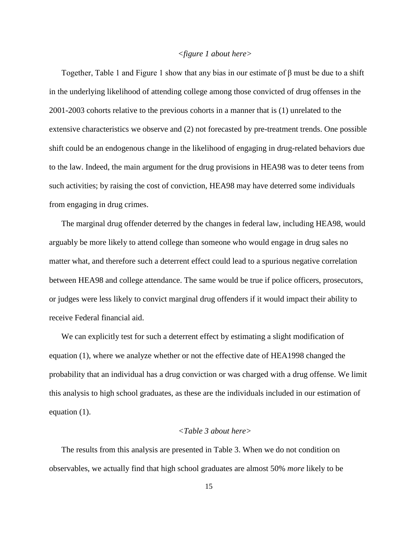#### *<figure 1 about here>*

Together, Table 1 and Figure 1 show that any bias in our estimate of β must be due to a shift in the underlying likelihood of attending college among those convicted of drug offenses in the 2001-2003 cohorts relative to the previous cohorts in a manner that is (1) unrelated to the extensive characteristics we observe and (2) not forecasted by pre-treatment trends. One possible shift could be an endogenous change in the likelihood of engaging in drug-related behaviors due to the law. Indeed, the main argument for the drug provisions in HEA98 was to deter teens from such activities; by raising the cost of conviction, HEA98 may have deterred some individuals from engaging in drug crimes.

The marginal drug offender deterred by the changes in federal law, including HEA98, would arguably be more likely to attend college than someone who would engage in drug sales no matter what, and therefore such a deterrent effect could lead to a spurious negative correlation between HEA98 and college attendance. The same would be true if police officers, prosecutors, or judges were less likely to convict marginal drug offenders if it would impact their ability to receive Federal financial aid.

We can explicitly test for such a deterrent effect by estimating a slight modification of equation (1), where we analyze whether or not the effective date of HEA1998 changed the probability that an individual has a drug conviction or was charged with a drug offense. We limit this analysis to high school graduates, as these are the individuals included in our estimation of equation (1).

#### *<Table 3 about here>*

The results from this analysis are presented in Table 3. When we do not condition on observables, we actually find that high school graduates are almost 50% *more* likely to be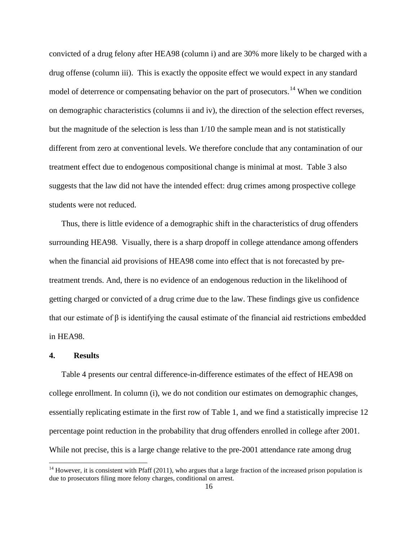convicted of a drug felony after HEA98 (column i) and are 30% more likely to be charged with a drug offense (column iii). This is exactly the opposite effect we would expect in any standard model of deterrence or compensating behavior on the part of prosecutors.<sup>[14](#page-16-0)</sup> When we condition on demographic characteristics (columns ii and iv), the direction of the selection effect reverses, but the magnitude of the selection is less than 1/10 the sample mean and is not statistically different from zero at conventional levels. We therefore conclude that any contamination of our treatment effect due to endogenous compositional change is minimal at most. Table 3 also suggests that the law did not have the intended effect: drug crimes among prospective college students were not reduced.

Thus, there is little evidence of a demographic shift in the characteristics of drug offenders surrounding HEA98. Visually, there is a sharp dropoff in college attendance among offenders when the financial aid provisions of HEA98 come into effect that is not forecasted by pretreatment trends. And, there is no evidence of an endogenous reduction in the likelihood of getting charged or convicted of a drug crime due to the law. These findings give us confidence that our estimate of β is identifying the causal estimate of the financial aid restrictions embedded in HEA98.

#### **4. Results**

Table 4 presents our central difference-in-difference estimates of the effect of HEA98 on college enrollment. In column (i), we do not condition our estimates on demographic changes, essentially replicating estimate in the first row of Table 1, and we find a statistically imprecise 12 percentage point reduction in the probability that drug offenders enrolled in college after 2001. While not precise, this is a large change relative to the pre-2001 attendance rate among drug

<span id="page-16-0"></span> $14$  However, it is consistent with Pfaff (2011), who argues that a large fraction of the increased prison population is due to prosecutors filing more felony charges, conditional on arrest.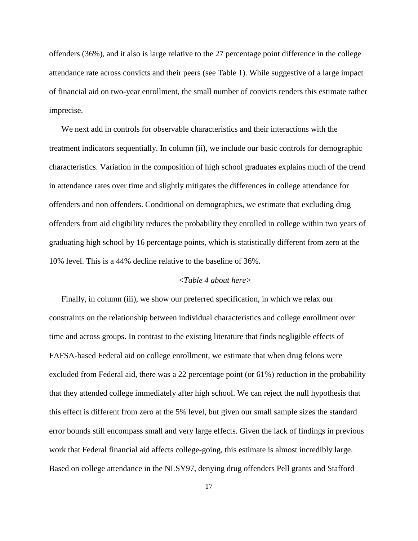offenders (36%), and it also is large relative to the 27 percentage point difference in the college attendance rate across convicts and their peers (see Table 1). While suggestive of a large impact of financial aid on two-year enrollment, the small number of convicts renders this estimate rather imprecise.

We next add in controls for observable characteristics and their interactions with the treatment indicators sequentially. In column (ii), we include our basic controls for demographic characteristics. Variation in the composition of high school graduates explains much of the trend in attendance rates over time and slightly mitigates the differences in college attendance for offenders and non offenders. Conditional on demographics, we estimate that excluding drug offenders from aid eligibility reduces the probability they enrolled in college within two years of graduating high school by 16 percentage points, which is statistically different from zero at the 10% level. This is a 44% decline relative to the baseline of 36%.

#### *<Table 4 about here>*

Finally, in column (iii), we show our preferred specification, in which we relax our constraints on the relationship between individual characteristics and college enrollment over time and across groups. In contrast to the existing literature that finds negligible effects of FAFSA-based Federal aid on college enrollment, we estimate that when drug felons were excluded from Federal aid, there was a 22 percentage point (or 61%) reduction in the probability that they attended college immediately after high school. We can reject the null hypothesis that this effect is different from zero at the 5% level, but given our small sample sizes the standard error bounds still encompass small and very large effects. Given the lack of findings in previous work that Federal financial aid affects college-going, this estimate is almost incredibly large. Based on college attendance in the NLSY97, denying drug offenders Pell grants and Stafford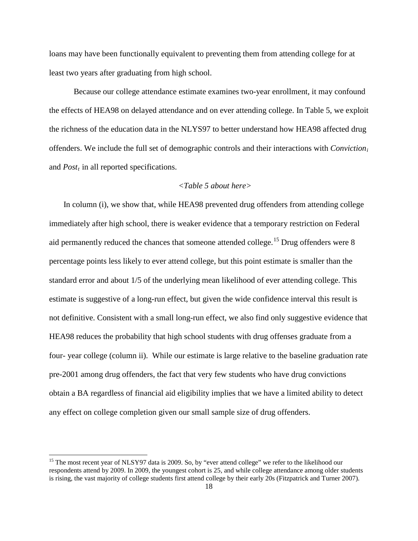loans may have been functionally equivalent to preventing them from attending college for at least two years after graduating from high school.

Because our college attendance estimate examines two-year enrollment, it may confound the effects of HEA98 on delayed attendance and on ever attending college. In Table 5, we exploit the richness of the education data in the NLYS97 to better understand how HEA98 affected drug offenders. We include the full set of demographic controls and their interactions with *Convictioni* and *Post<sub>t</sub>* in all reported specifications.

#### *<Table 5 about here>*

In column (i), we show that, while HEA98 prevented drug offenders from attending college immediately after high school, there is weaker evidence that a temporary restriction on Federal aid permanently reduced the chances that someone attended college.<sup>[15](#page-18-0)</sup> Drug offenders were 8 percentage points less likely to ever attend college, but this point estimate is smaller than the standard error and about 1/5 of the underlying mean likelihood of ever attending college. This estimate is suggestive of a long-run effect, but given the wide confidence interval this result is not definitive. Consistent with a small long-run effect, we also find only suggestive evidence that HEA98 reduces the probability that high school students with drug offenses graduate from a four- year college (column ii). While our estimate is large relative to the baseline graduation rate pre-2001 among drug offenders, the fact that very few students who have drug convictions obtain a BA regardless of financial aid eligibility implies that we have a limited ability to detect any effect on college completion given our small sample size of drug offenders.

<span id="page-18-0"></span><sup>&</sup>lt;sup>15</sup> The most recent year of NLSY97 data is 2009. So, by "ever attend college" we refer to the likelihood our respondents attend by 2009. In 2009, the youngest cohort is 25, and while college attendance among older students is rising, the vast majority of college students first attend college by their early 20s (Fitzpatrick and Turner 2007).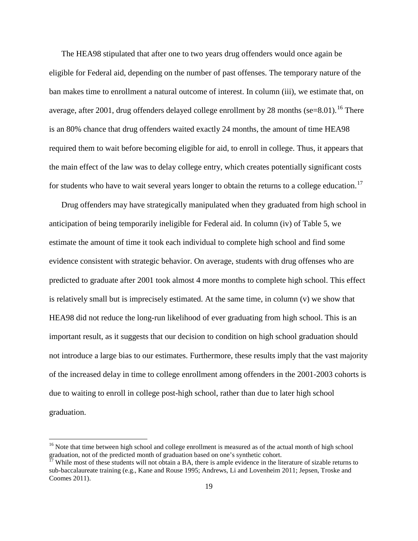The HEA98 stipulated that after one to two years drug offenders would once again be eligible for Federal aid, depending on the number of past offenses. The temporary nature of the ban makes time to enrollment a natural outcome of interest. In column (iii), we estimate that, on average, after 2001, drug offenders delayed college enrollment by 28 months (se=8.01). <sup>[16](#page-19-0)</sup> There is an 80% chance that drug offenders waited exactly 24 months, the amount of time HEA98 required them to wait before becoming eligible for aid, to enroll in college. Thus, it appears that the main effect of the law was to delay college entry, which creates potentially significant costs for students who have to wait several years longer to obtain the returns to a college education.<sup>[17](#page-19-1)</sup>

Drug offenders may have strategically manipulated when they graduated from high school in anticipation of being temporarily ineligible for Federal aid. In column (iv) of Table 5, we estimate the amount of time it took each individual to complete high school and find some evidence consistent with strategic behavior. On average, students with drug offenses who are predicted to graduate after 2001 took almost 4 more months to complete high school. This effect is relatively small but is imprecisely estimated. At the same time, in column (v) we show that HEA98 did not reduce the long-run likelihood of ever graduating from high school. This is an important result, as it suggests that our decision to condition on high school graduation should not introduce a large bias to our estimates. Furthermore, these results imply that the vast majority of the increased delay in time to college enrollment among offenders in the 2001-2003 cohorts is due to waiting to enroll in college post-high school, rather than due to later high school graduation.

<span id="page-19-0"></span><sup>&</sup>lt;sup>16</sup> Note that time between high school and college enrollment is measured as of the actual month of high school graduation, not of the predicted month of graduation based on one's synthetic cohort.

<span id="page-19-1"></span>While most of these students will not obtain a BA, there is ample evidence in the literature of sizable returns to sub-baccalaureate training (e.g., Kane and Rouse 1995; Andrews, Li and Lovenheim 2011; Jepsen, Troske and Coomes 2011).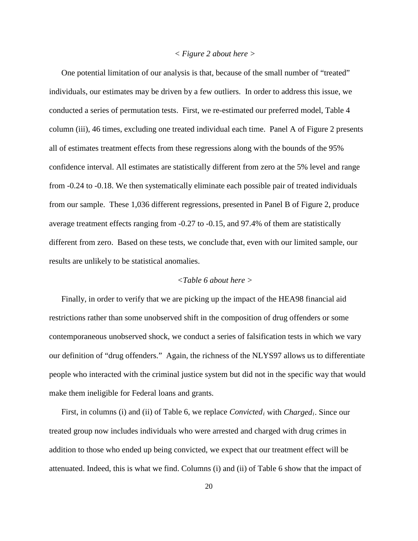#### *< Figure 2 about here >*

One potential limitation of our analysis is that, because of the small number of "treated" individuals, our estimates may be driven by a few outliers. In order to address this issue, we conducted a series of permutation tests. First, we re-estimated our preferred model, Table 4 column (iii), 46 times, excluding one treated individual each time. Panel A of Figure 2 presents all of estimates treatment effects from these regressions along with the bounds of the 95% confidence interval. All estimates are statistically different from zero at the 5% level and range from -0.24 to -0.18. We then systematically eliminate each possible pair of treated individuals from our sample. These 1,036 different regressions, presented in Panel B of Figure 2, produce average treatment effects ranging from -0.27 to -0.15, and 97.4% of them are statistically different from zero. Based on these tests, we conclude that, even with our limited sample, our results are unlikely to be statistical anomalies.

#### *<Table 6 about here >*

Finally, in order to verify that we are picking up the impact of the HEA98 financial aid restrictions rather than some unobserved shift in the composition of drug offenders or some contemporaneous unobserved shock, we conduct a series of falsification tests in which we vary our definition of "drug offenders." Again, the richness of the NLYS97 allows us to differentiate people who interacted with the criminal justice system but did not in the specific way that would make them ineligible for Federal loans and grants.

First, in columns (i) and (ii) of Table 6, we replace *Convicted<sub>i</sub>* with *Charged<sub>i</sub>*. Since our treated group now includes individuals who were arrested and charged with drug crimes in addition to those who ended up being convicted, we expect that our treatment effect will be attenuated. Indeed, this is what we find. Columns (i) and (ii) of Table 6 show that the impact of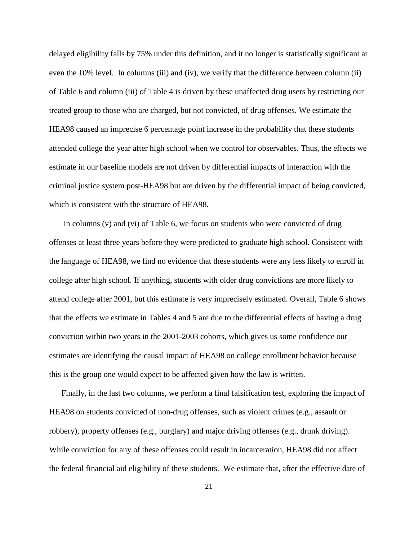delayed eligibility falls by 75% under this definition, and it no longer is statistically significant at even the 10% level. In columns (iii) and (iv), we verify that the difference between column (ii) of Table 6 and column (iii) of Table 4 is driven by these unaffected drug users by restricting our treated group to those who are charged, but not convicted, of drug offenses. We estimate the HEA98 caused an imprecise 6 percentage point increase in the probability that these students attended college the year after high school when we control for observables. Thus, the effects we estimate in our baseline models are not driven by differential impacts of interaction with the criminal justice system post-HEA98 but are driven by the differential impact of being convicted, which is consistent with the structure of HEA98.

In columns (v) and (vi) of Table 6, we focus on students who were convicted of drug offenses at least three years before they were predicted to graduate high school. Consistent with the language of HEA98, we find no evidence that these students were any less likely to enroll in college after high school. If anything, students with older drug convictions are more likely to attend college after 2001, but this estimate is very imprecisely estimated. Overall, Table 6 shows that the effects we estimate in Tables 4 and 5 are due to the differential effects of having a drug conviction within two years in the 2001-2003 cohorts, which gives us some confidence our estimates are identifying the causal impact of HEA98 on college enrollment behavior because this is the group one would expect to be affected given how the law is written.

Finally, in the last two columns, we perform a final falsification test, exploring the impact of HEA98 on students convicted of non-drug offenses, such as violent crimes (e.g., assault or robbery), property offenses (e.g., burglary) and major driving offenses (e.g., drunk driving). While conviction for any of these offenses could result in incarceration, HEA98 did not affect the federal financial aid eligibility of these students. We estimate that, after the effective date of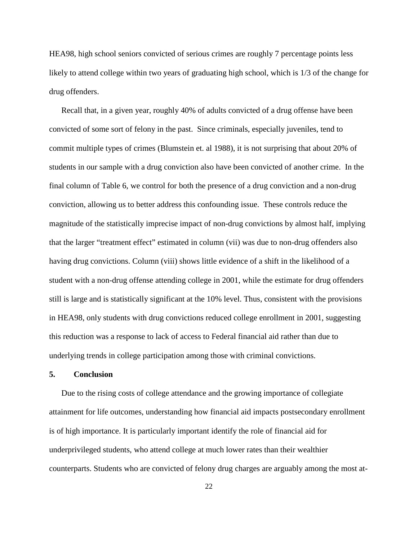HEA98, high school seniors convicted of serious crimes are roughly 7 percentage points less likely to attend college within two years of graduating high school, which is  $1/3$  of the change for drug offenders.

Recall that, in a given year, roughly 40% of adults convicted of a drug offense have been convicted of some sort of felony in the past. Since criminals, especially juveniles, tend to commit multiple types of crimes (Blumstein et. al 1988), it is not surprising that about 20% of students in our sample with a drug conviction also have been convicted of another crime. In the final column of Table 6, we control for both the presence of a drug conviction and a non-drug conviction, allowing us to better address this confounding issue. These controls reduce the magnitude of the statistically imprecise impact of non-drug convictions by almost half, implying that the larger "treatment effect" estimated in column (vii) was due to non-drug offenders also having drug convictions. Column (viii) shows little evidence of a shift in the likelihood of a student with a non-drug offense attending college in 2001, while the estimate for drug offenders still is large and is statistically significant at the 10% level. Thus, consistent with the provisions in HEA98, only students with drug convictions reduced college enrollment in 2001, suggesting this reduction was a response to lack of access to Federal financial aid rather than due to underlying trends in college participation among those with criminal convictions.

#### **5. Conclusion**

Due to the rising costs of college attendance and the growing importance of collegiate attainment for life outcomes, understanding how financial aid impacts postsecondary enrollment is of high importance. It is particularly important identify the role of financial aid for underprivileged students, who attend college at much lower rates than their wealthier counterparts. Students who are convicted of felony drug charges are arguably among the most at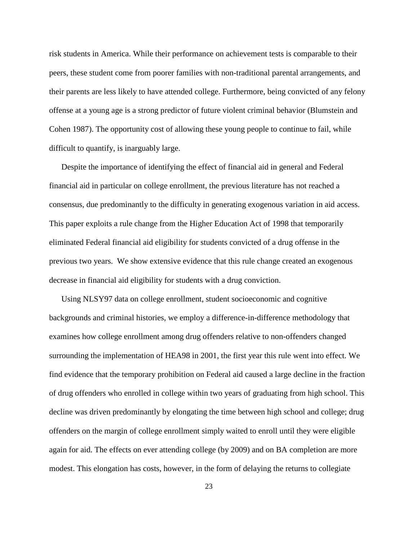risk students in America. While their performance on achievement tests is comparable to their peers, these student come from poorer families with non-traditional parental arrangements, and their parents are less likely to have attended college. Furthermore, being convicted of any felony offense at a young age is a strong predictor of future violent criminal behavior (Blumstein and Cohen 1987). The opportunity cost of allowing these young people to continue to fail, while difficult to quantify, is inarguably large.

Despite the importance of identifying the effect of financial aid in general and Federal financial aid in particular on college enrollment, the previous literature has not reached a consensus, due predominantly to the difficulty in generating exogenous variation in aid access. This paper exploits a rule change from the Higher Education Act of 1998 that temporarily eliminated Federal financial aid eligibility for students convicted of a drug offense in the previous two years. We show extensive evidence that this rule change created an exogenous decrease in financial aid eligibility for students with a drug conviction.

Using NLSY97 data on college enrollment, student socioeconomic and cognitive backgrounds and criminal histories, we employ a difference-in-difference methodology that examines how college enrollment among drug offenders relative to non-offenders changed surrounding the implementation of HEA98 in 2001, the first year this rule went into effect. We find evidence that the temporary prohibition on Federal aid caused a large decline in the fraction of drug offenders who enrolled in college within two years of graduating from high school. This decline was driven predominantly by elongating the time between high school and college; drug offenders on the margin of college enrollment simply waited to enroll until they were eligible again for aid. The effects on ever attending college (by 2009) and on BA completion are more modest. This elongation has costs, however, in the form of delaying the returns to collegiate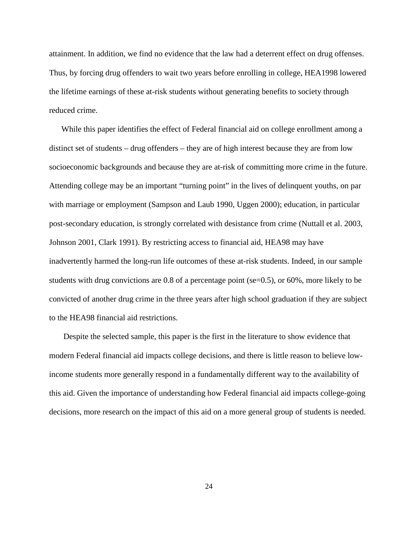attainment. In addition, we find no evidence that the law had a deterrent effect on drug offenses. Thus, by forcing drug offenders to wait two years before enrolling in college, HEA1998 lowered the lifetime earnings of these at-risk students without generating benefits to society through reduced crime.

While this paper identifies the effect of Federal financial aid on college enrollment among a distinct set of students – drug offenders – they are of high interest because they are from low socioeconomic backgrounds and because they are at-risk of committing more crime in the future. Attending college may be an important "turning point" in the lives of delinquent youths, on par with marriage or employment (Sampson and Laub 1990, Uggen 2000); education, in particular post-secondary education, is strongly correlated with desistance from crime (Nuttall et al. 2003, Johnson 2001, Clark 1991). By restricting access to financial aid, HEA98 may have inadvertently harmed the long-run life outcomes of these at-risk students. Indeed, in our sample students with drug convictions are 0.8 of a percentage point (se=0.5), or 60%, more likely to be convicted of another drug crime in the three years after high school graduation if they are subject to the HEA98 financial aid restrictions.

Despite the selected sample, this paper is the first in the literature to show evidence that modern Federal financial aid impacts college decisions, and there is little reason to believe lowincome students more generally respond in a fundamentally different way to the availability of this aid. Given the importance of understanding how Federal financial aid impacts college-going decisions, more research on the impact of this aid on a more general group of students is needed.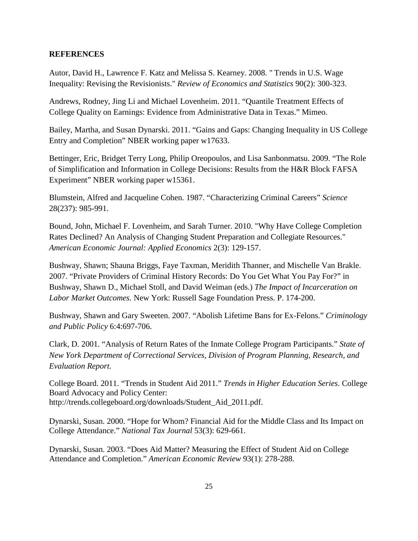## **REFERENCES**

Autor, David H., Lawrence F. Katz and Melissa S. Kearney. 2008. " Trends in U.S. Wage Inequality: Revising the Revisionists." *Review of Economics and Statistics* 90(2): 300-323.

Andrews, Rodney, Jing Li and Michael Lovenheim. 2011. "Quantile Treatment Effects of College Quality on Earnings: Evidence from Administrative Data in Texas." Mimeo.

Bailey, Martha, and Susan Dynarski. 2011. "Gains and Gaps: Changing Inequality in US College Entry and Completion" NBER working paper w17633.

Bettinger, Eric, Bridget Terry Long, Philip Oreopoulos, and Lisa Sanbonmatsu. 2009. "The Role of Simplification and Information in College Decisions: Results from the H&R Block FAFSA Experiment" NBER working paper w15361.

Blumstein, Alfred and Jacqueline Cohen. 1987. "Characterizing Criminal Careers" *Science* 28(237): 985-991.

Bound, John, Michael F. Lovenheim, and Sarah Turner. 2010. "Why Have College Completion Rates Declined? An Analysis of Changing Student Preparation and Collegiate Resources." *American Economic Journal: Applied Economics* 2(3): 129-157.

Bushway, Shawn; Shauna Briggs, Faye Taxman, Meridith Thanner, and Mischelle Van Brakle. 2007. "Private Providers of Criminal History Records: Do You Get What You Pay For?" in Bushway, Shawn D., Michael Stoll, and David Weiman (eds.) *The Impact of Incarceration on Labor Market Outcomes.* New York: Russell Sage Foundation Press. P. 174-200.

Bushway, Shawn and Gary Sweeten. 2007. "Abolish Lifetime Bans for Ex-Felons." *Criminology and Public Policy* 6:4:697-706.

Clark, D. 2001. "Analysis of Return Rates of the Inmate College Program Participants." *State of New York Department of Correctional Services, Division of Program Planning, Research, and Evaluation Report.*

College Board. 2011. "Trends in Student Aid 2011." *Trends in Higher Education Series*. College Board Advocacy and Policy Center: http://trends.collegeboard.org/downloads/Student\_Aid\_2011.pdf.

Dynarski, Susan. 2000. "Hope for Whom? Financial Aid for the Middle Class and Its Impact on College Attendance." *National Tax Journal* 53(3): 629-661.

Dynarski, Susan. 2003. "Does Aid Matter? Measuring the Effect of Student Aid on College Attendance and Completion." *American Economic Review* 93(1): 278-288.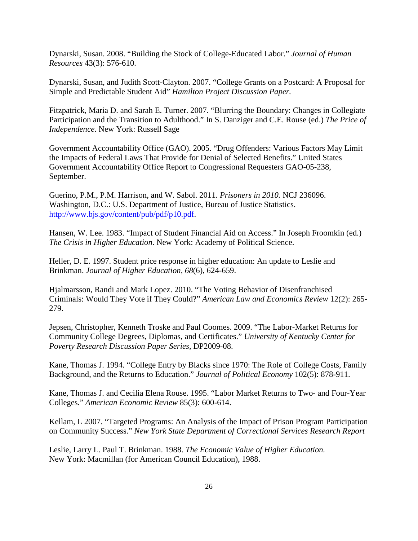Dynarski, Susan. 2008. "Building the Stock of College-Educated Labor." *Journal of Human Resources* 43(3): 576-610.

Dynarski, Susan, and Judith Scott-Clayton. 2007. "College Grants on a Postcard: A Proposal for Simple and Predictable Student Aid" *Hamilton Project Discussion Paper.*

Fitzpatrick, Maria D. and Sarah E. Turner. 2007. "Blurring the Boundary: Changes in Collegiate Participation and the Transition to Adulthood." In S. Danziger and C.E. Rouse (ed.) *The Price of Independence*. New York: Russell Sage

Government Accountability Office (GAO). 2005. "Drug Offenders: Various Factors May Limit the Impacts of Federal Laws That Provide for Denial of Selected Benefits." United States Government Accountability Office Report to Congressional Requesters GAO-05-238, September.

Guerino, P.M., P.M. Harrison, and W. Sabol. 2011. *Prisoners in 2010.* NCJ 236096. Washington, D.C.: U.S. Department of Justice, Bureau of Justice Statistics. [http://www.bjs.gov/content/pub/pdf/p10.pdf.](http://www.bjs.gov/content/pub/pdf/p10.pdf)

Hansen, W. Lee. 1983. "Impact of Student Financial Aid on Access." In Joseph Froomkin (ed.) *The Crisis in Higher Education*. New York: Academy of Political Science.

Heller, D. E. 1997. Student price response in higher education: An update to Leslie and Brinkman. *Journal of Higher Education, 68*(6), 624-659.

Hjalmarsson, Randi and Mark Lopez. 2010. "The Voting Behavior of Disenfranchised Criminals: Would They Vote if They Could?" *American Law and Economics Review* 12(2): 265- 279.

Jepsen, Christopher, Kenneth Troske and Paul Coomes. 2009. "The Labor-Market Returns for Community College Degrees, Diplomas, and Certificates." *University of Kentucky Center for Poverty Research Discussion Paper Series,* DP2009-08.

Kane, Thomas J. 1994. "College Entry by Blacks since 1970: The Role of College Costs, Family Background, and the Returns to Education." *Journal of Political Economy* 102(5): 878-911.

Kane, Thomas J. and Cecilia Elena Rouse. 1995. "Labor Market Returns to Two- and Four-Year Colleges." *American Economic Review* 85(3): 600-614.

Kellam, L 2007. "Targeted Programs: An Analysis of the Impact of Prison Program Participation on Community Success." *New York State Department of Correctional Services Research Report*

Leslie, Larry L. Paul T. Brinkman. 1988. *The Economic Value of Higher Education.* New York: Macmillan (for American Council Education), 1988.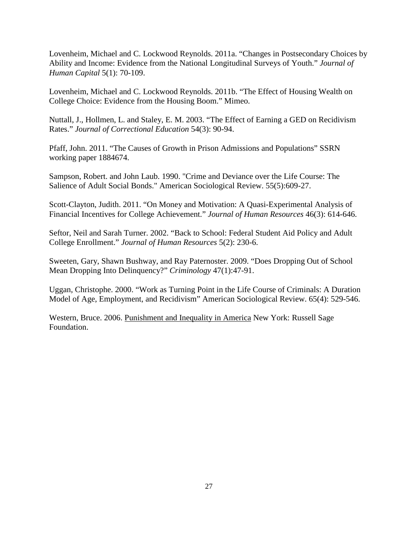Lovenheim, Michael and C. Lockwood Reynolds. 2011a. "Changes in Postsecondary Choices by Ability and Income: Evidence from the National Longitudinal Surveys of Youth." *Journal of Human Capital* 5(1): 70-109.

Lovenheim, Michael and C. Lockwood Reynolds. 2011b. "The Effect of Housing Wealth on College Choice: Evidence from the Housing Boom." Mimeo.

Nuttall, J., Hollmen, L. and Staley, E. M. 2003. "The Effect of Earning a GED on Recidivism Rates." *Journal of Correctional Education* 54(3): 90-94.

Pfaff, John. 2011. "The Causes of Growth in Prison Admissions and Populations" SSRN working paper 1884674.

Sampson, Robert. and John Laub. 1990. "Crime and Deviance over the Life Course: The Salience of Adult Social Bonds." American Sociological Review. 55(5):609-27.

Scott-Clayton, Judith. 2011. "On Money and Motivation: A Quasi-Experimental Analysis of Financial Incentives for College Achievement." *Journal of Human Resources* 46(3): 614-646.

Seftor, Neil and Sarah Turner. 2002. "Back to School: Federal Student Aid Policy and Adult College Enrollment." *Journal of Human Resources* 5(2): 230-6.

Sweeten, Gary, Shawn Bushway, and Ray Paternoster. 2009. "Does Dropping Out of School Mean Dropping Into Delinquency?" *Criminology* 47(1):47-91.

Uggan, Christophe. 2000. "Work as Turning Point in the Life Course of Criminals: A Duration Model of Age, Employment, and Recidivism" American Sociological Review. 65(4): 529-546.

Western, Bruce. 2006. Punishment and Inequality in America New York: Russell Sage Foundation.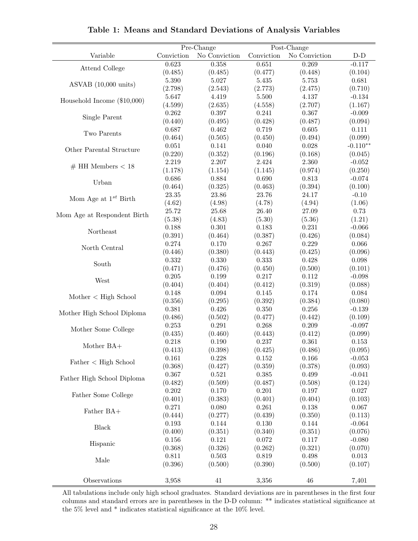|                               |            | Pre-Change    | Post-Change      |               |            |
|-------------------------------|------------|---------------|------------------|---------------|------------|
| Variable                      | Conviction | No Conviction | Conviction       | No Conviction | $D-D$      |
|                               | 0.623      | 0.358         | 0.651            | 0.269         | $-0.117$   |
| Attend College                | (0.485)    | (0.485)       | (0.477)          | (0.448)       | (0.104)    |
|                               | $5.390\,$  | 5.027         | 5.435            | 5.753         | 0.681      |
| ASVAB (10,000 units)          | (2.798)    | (2.543)       | (2.773)          | (2.475)       | (0.710)    |
|                               | 5.647      | 4.419         | 5.500            | 4.137         | $-0.134$   |
| Household Income $(\$10,000)$ | (4.599)    | (2.635)       | (4.558)          | (2.707)       | (1.167)    |
|                               | 0.262      | $0.397\,$     | 0.241            | $0.367\,$     | $-0.009$   |
| Single Parent                 | (0.440)    | (0.495)       | (0.428)          | (0.487)       | (0.094)    |
|                               | 0.687      | 0.462         | 0.719            | 0.605         | 0.111      |
| Two Parents                   | (0.464)    | (0.505)       | (0.450)          | (0.494)       | (0.099)    |
|                               | 0.051      | 0.141         | 0.040            | 0.028         | $-0.110**$ |
| Other Parental Structure      | (0.220)    | (0.352)       | (0.196)          | (0.168)       | (0.045)    |
|                               | 2.219      | 2.207         | 2.424            | 2.360         | $-0.052$   |
| $#$ HH Members < 18           | (1.178)    | (1.154)       | (1.145)          | (0.974)       | (0.250)    |
|                               | 0.686      | 0.884         | 0.690            | 0.813         | $-0.074$   |
| Urban                         | (0.464)    | (0.325)       | (0.463)          | (0.394)       | (0.100)    |
|                               | $23.35\,$  | 23.86         | 23.76            | 24.17         | $-0.10$    |
| Mom Age at $1^{st}$ Birth     | (4.62)     | (4.98)        | (4.78)           | (4.94)        | (1.06)     |
|                               | 25.72      | 25.68         | 26.40            | 27.09         | 0.73       |
| Mom Age at Respondent Birth   | (5.38)     | (4.83)        | (5.30)           | (5.36)        | (1.21)     |
|                               | 0.188      | 0.301         | 0.183            | 0.231         | $-0.066$   |
| Northeast                     | (0.391)    | (0.464)       | (0.387)          | (0.426)       | (0.084)    |
|                               | 0.274      | 0.170         | 0.267            | 0.229         | 0.066      |
| North Central                 | (0.446)    | (0.380)       | (0.443)          | (0.425)       | (0.096)    |
|                               | $0.332\,$  | 0.330         | 0.333            | 0.428         | 0.098      |
| South                         | (0.471)    | (0.476)       | (0.450)          | (0.500)       | (0.101)    |
|                               | 0.205      | 0.199         | 0.217            | 0.112         | $-0.098$   |
| West                          | (0.404)    | (0.404)       | (0.412)          | (0.319)       | (0.088)    |
|                               | 0.148      | $\,0.094\,$   | 0.145            | 0.174         | 0.084      |
| Mother < High School          | (0.356)    | (0.295)       | (0.392)          | (0.384)       | (0.080)    |
|                               | 0.381      | 0.426         | 0.350            | 0.256         | $-0.139$   |
| Mother High School Diploma    | (0.486)    | (0.502)       | (0.477)          | (0.442)       | (0.109)    |
|                               | 0.253      | 0.291         | 0.268            | 0.209         | $-0.097$   |
| Mother Some College           | (0.435)    | (0.460)       | (0.443)          | (0.412)       | (0.099)    |
|                               | 0.218      | 0.190         | 0.237            | 0.361         | 0.153      |
| Mother BA+                    | (0.413)    | (0.398)       | (0.425)          | (0.486)       | (0.095)    |
|                               | 0.161      | 0.228         | $0.152\,$        | 0.166         | $-0.053$   |
| Father < High School          | (0.368)    | (0.427)       | (0.359)          | (0.378)       | (0.093)    |
|                               | 0.367      | 0.521         | 0.385            | 0.499         | $-0.041$   |
| Father High School Diploma    | (0.482)    | (0.509)       |                  | (0.508)       | (0.124)    |
|                               | 0.202      | 0.170         | (0.487)<br>0.201 | $0.197\,$     | 0.027      |
| Father Some College           | (0.401)    | (0.383)       | (0.401)          | (0.404)       | (0.103)    |
|                               | 0.271      | 0.080         | 0.261            | $0.138\,$     | 0.067      |
| Father BA+                    | (0.444)    | (0.277)       | (0.439)          | (0.350)       | (0.113)    |
|                               | 0.193      | 0.144         | 0.130            | 0.144         |            |
| <b>Black</b>                  |            |               |                  |               | $-0.064$   |
|                               | (0.400)    | (0.351)       | (0.340)          | (0.351)       | (0.076)    |
| Hispanic                      | $0.156\,$  | 0.121         | $0.072\,$        | 0.117         | $-0.080$   |
|                               | (0.368)    | (0.326)       | (0.262)          | (0.321)       | (0.070)    |
| Male                          | 0.811      | 0.503         | 0.819            | 0.498         | 0.013      |
|                               | (0.396)    | (0.500)       | (0.390)          | (0.500)       | (0.107)    |
| Observations                  | 3,958      | 41            | 3,356            | 46            | 7,401      |
|                               |            |               |                  |               |            |

**Table 1: Means and Standard Deviations of Analysis Variables**

All tabulations include only high school graduates. Standard deviations are in parentheses in the first four columns and standard errors are in parentheses in the D-D column: \*\* indicates statistical significance at the 5% level and \* indicates statistical significance at the 10% level.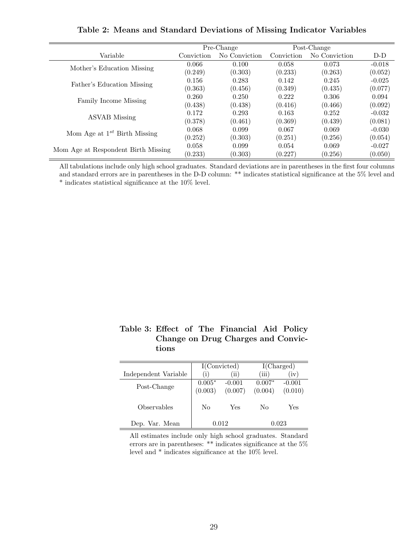|                                     |            | Pre-Change    | Post-Change |               |          |
|-------------------------------------|------------|---------------|-------------|---------------|----------|
| Variable                            | Conviction | No Conviction | Conviction  | No Conviction | $D-D$    |
|                                     | 0.066      | 0.100         | 0.058       | 0.073         | $-0.018$ |
| Mother's Education Missing          | (0.249)    | (0.303)       | (0.233)     | (0.263)       | (0.052)  |
|                                     | 0.156      | 0.283         | 0.142       | 0.245         | $-0.025$ |
| Father's Education Missing          | (0.363)    | (0.456)       | (0.349)     | (0.435)       | (0.077)  |
|                                     | 0.260      | 0.250         | 0.222       | 0.306         | 0.094    |
| Family Income Missing               | (0.438)    | (0.438)       | (0.416)     | (0.466)       | (0.092)  |
| <b>ASVAB</b> Missing                | 0.172      | 0.293         | 0.163       | 0.252         | $-0.032$ |
|                                     | (0.378)    | (0.461)       | (0.369)     | (0.439)       | (0.081)  |
|                                     | 0.068      | 0.099         | 0.067       | 0.069         | $-0.030$ |
| Mom Age at $1^{st}$ Birth Missing   | (0.252)    | (0.303)       | (0.251)     | (0.256)       | (0.054)  |
|                                     | 0.058      | 0.099         | 0.054       | 0.069         | $-0.027$ |
| Mom Age at Respondent Birth Missing | (0.233)    | (0.303)       | (0.227)     | (0.256)       | (0.050)  |

**Table 2: Means and Standard Deviations of Missing Indicator Variables**

All tabulations include only high school graduates. Standard deviations are in parentheses in the first four columns and standard errors are in parentheses in the D-D column: \*\* indicates statistical significance at the 5% level and  $^{\ast}$  indicates statistical significance at the 10% level.

|       |  | Table 3: Effect of The Financial Aid Policy |  |
|-------|--|---------------------------------------------|--|
|       |  | Change on Drug Charges and Convic-          |  |
| tions |  |                                             |  |

|                           | I(Convicted)        |                     | I(Charged)          |                     |  |
|---------------------------|---------------------|---------------------|---------------------|---------------------|--|
| Independent Variable      | $\left(1\right)$    | (ii)                | 'iii)               | (iv)                |  |
| Post-Change               | $0.005*$<br>(0.003) | $-0.001$<br>(0.007) | $0.007*$<br>(0.004) | $-0.001$<br>(0.010) |  |
| <i><b>Observables</b></i> | No                  | Yes                 | No                  | Yes                 |  |
| Dep. Var. Mean            | 0.012               |                     | 0.023               |                     |  |

All estimates include only high school graduates. Standard errors are in parentheses: \*\* indicates significance at the 5% level and \* indicates significance at the 10% level.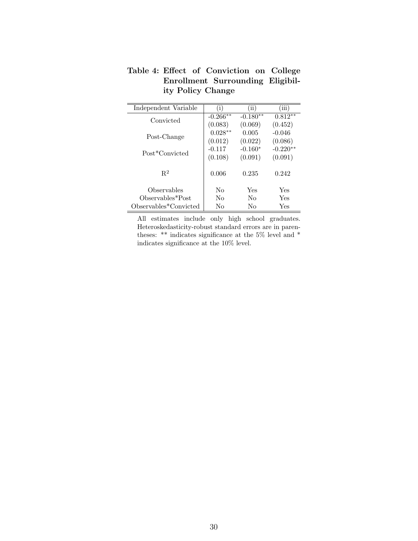| Independent Variable  | (i)        | $\rm (ii)$ | (iii)      |
|-----------------------|------------|------------|------------|
| Convicted             | $-0.266**$ | $-0.180**$ | $0.812**$  |
|                       | (0.083)    | (0.069)    | (0.452)    |
| Post-Change           | $0.028**$  | 0.005      | $-0.046$   |
|                       | (0.012)    | (0.022)    | (0.086)    |
| Post*Convicted        | $-0.117$   | $-0.160*$  | $-0.220**$ |
|                       | (0.108)    | (0.091)    | (0.091)    |
|                       |            |            |            |
| $R^2$                 | 0.006      | 0.235      | 0.242      |
|                       |            |            |            |
| Observables           | No         | Yes        | Yes        |
| Observables*Post      | No         | No         | Yes        |
| Observables*Convicted | No         | No         | Yes        |

**Table 4: Effect of Conviction on College Enrollment Surrounding Eligibility Policy Change**

All estimates include only high school graduates. Heteroskedasticity-robust standard errors are in parentheses: \*\* indicates significance at the 5% level and \* indicates significance at the 10% level.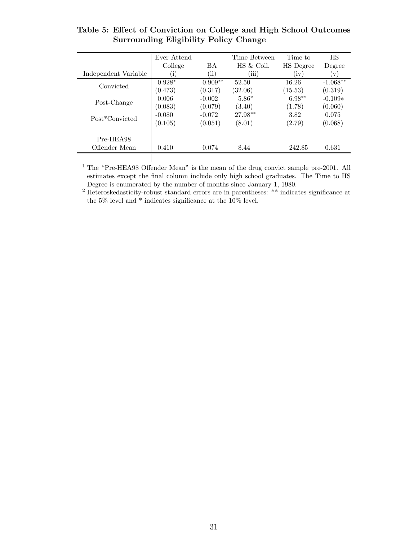|                      | Ever Attend |            | Time Between | Time to   | <b>HS</b>  |
|----------------------|-------------|------------|--------------|-----------|------------|
|                      | College     | <b>BA</b>  | HS & Coll.   | HS Degree | Degree     |
| Independent Variable | ï           | $\rm (ii)$ | (iii)        | (iv)      | V          |
| Convicted            | $0.928*$    | $0.909**$  | 52.50        | 16.26     | $-1.068**$ |
|                      | (0.473)     | (0.317)    | (32.06)      | (15.53)   | (0.319)    |
| Post-Change          | 0.006       | $-0.002$   | $5.86*$      | $6.98**$  | $-0.109*$  |
|                      | (0.083)     | (0.079)    | (3.40)       | (1.78)    | (0.060)    |
| Post*Convicted       | $-0.080$    | $-0.072$   | $27.98**$    | 3.82      | 0.075      |
|                      | (0.105)     | (0.051)    | (8.01)       | (2.79)    | (0.068)    |
|                      |             |            |              |           |            |
| Pre-HEA98            |             |            |              |           |            |
| Offender Mean        | 0.410       | 0.074      | 8.44         | 242.85    | 0.631      |
|                      |             |            |              |           |            |

# **Table 5: Effect of Conviction on College and High School Outcomes Surrounding Eligibility Policy Change**

<sup>1</sup> The "Pre-HEA98 Offender Mean" is the mean of the drug convict sample pre-2001. All estimates except the final column include only high school graduates. The Time to HS Degree is enumerated by the number of months since January 1, 1980.

<sup>2</sup> Heteroskedasticity-robust standard errors are in parentheses: \*\* indicates significance at the 5% level and \* indicates significance at the 10% level.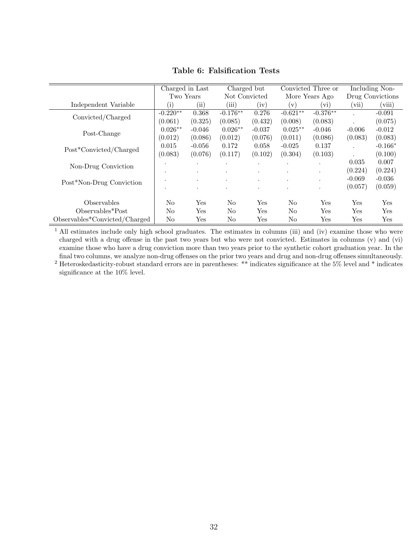|                                              | Charged in Last |                      | Charged but    |          | Convicted Three or |                      | Including Non-       |           |
|----------------------------------------------|-----------------|----------------------|----------------|----------|--------------------|----------------------|----------------------|-----------|
|                                              | Two Years       |                      | Not Convicted  |          | More Years Ago     |                      | Drug Convictions     |           |
| Independent Variable                         | (i)             | $\rm (ii)$           | (iii)          | (iv)     | $(\mathrm{v})$     | $\rm\,vi)$           | (vii)                | (viii)    |
| Convicted/Charged                            | $-0.220**$      | 0.368                | $-0.176**$     | 0.276    | $-0.621**$         | $-0.376**$           | $\cdot$              | $-0.091$  |
|                                              | (0.061)         | (0.325)              | (0.085)        | (0.432)  | (0.008)            | (0.083)              |                      | (0.075)   |
| Post-Change                                  | $0.026**$       | $-0.046$             | $0.026**$      | $-0.037$ | $0.025**$          | $-0.046$             | $-0.006$             | $-0.012$  |
|                                              | (0.012)         | (0.086)              | (0.012)        | (0.076)  | (0.011)            | (0.086)              | (0.083)              | (0.083)   |
| Post*Convicted/Charged                       | 0.015           | $-0.056$             | 0.172          | 0.058    | $-0.025$           | 0.137                | $\ddot{\phantom{a}}$ | $-0.166*$ |
|                                              | (0.083)         | (0.076)              | (0.117)        | (0.102)  | (0.304)            | (0.103)              |                      | (0.100)   |
|                                              | $\bullet$       |                      | $\cdot$        | $\cdot$  | $\cdot$            |                      | 0.035                | 0.007     |
| Non-Drug Conviction                          | $\bullet$       | $\cdot$              | $\cdot$        | $\cdot$  | $\cdot$            | $\ddot{\phantom{0}}$ | (0.224)              | (0.224)   |
| Post*Non-Drug Conviction                     | $\bullet$       | $\cdot$              | $\cdot$        |          | $\cdot$            |                      | $-0.069$             | $-0.036$  |
|                                              | $\cdot$         |                      | $\bullet$      | $\cdot$  | $\cdot$            |                      | (0.057)              | (0.059)   |
|                                              |                 |                      |                |          |                    |                      |                      |           |
| Observables                                  | N <sub>o</sub>  | Yes                  | N <sub>0</sub> | Yes      | No                 | Yes                  | Yes                  | Yes       |
| Observables*Post                             | N <sub>o</sub>  | $\operatorname{Yes}$ | N <sub>o</sub> | Yes      | N <sub>o</sub>     | Yes                  | Yes                  | Yes       |
| $Observeable$ <sup>*</sup> Convicted/Charged | N <sub>0</sub>  | $\operatorname{Yes}$ | N <sub>0</sub> | Yes      | No                 | $\operatorname{Yes}$ | Yes                  | Yes       |

**Table 6: Falsification Tests**

<sup>1</sup> All estimates include only high school graduates. The estimates in columns (iii) and (iv) examine those who were charged with a drug offense in the past two years but who were not convicted. Estimates in columns (v) and (vi) examine those who have a drug conviction more than two years prior to the synthetic cohort graduation year. In the final two columns, we analyze non-drug offenses on the prior two years and drug and non-drug offenses simultaneously.

<sup>2</sup> Heteroskedasticity-robust standard errors are in parentheses: \*\* indicates significance at the 5% level and \* indicates significance at the 10% level.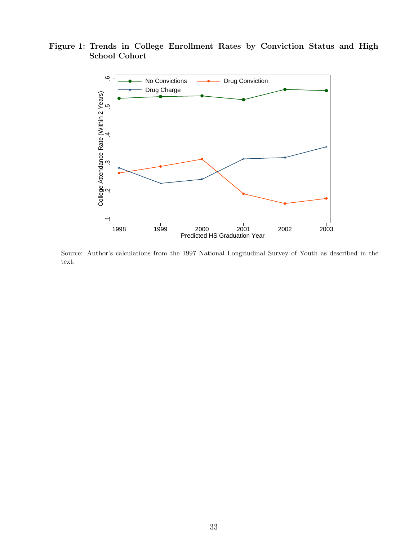**Figure 1: Trends in College Enrollment Rates by Conviction Status and High School Cohort**



Source: Author's calculations from the 1997 National Longitudinal Survey of Youth as described in the text.